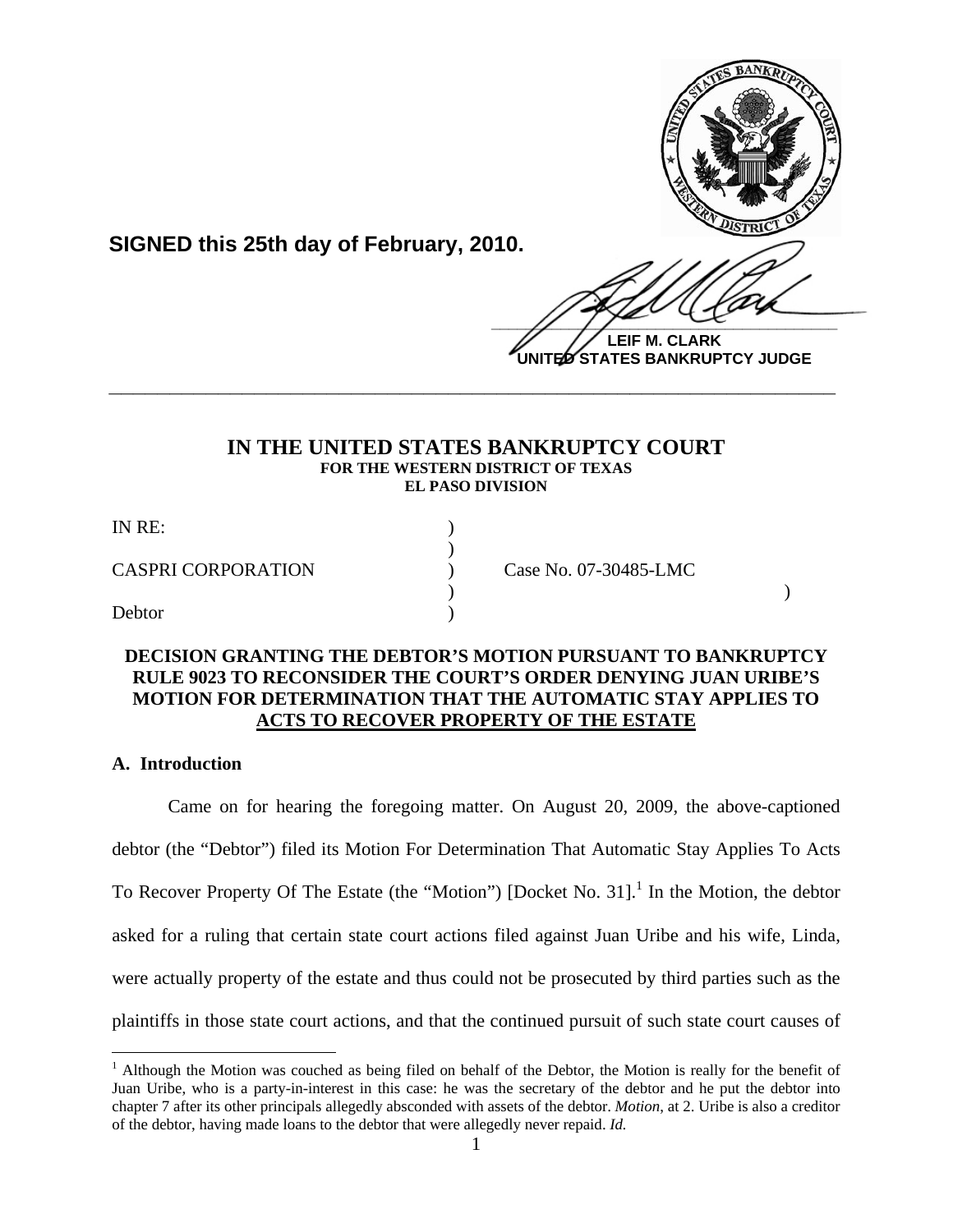

**SIGNED this 25th day of February, 2010.**

 $\frac{1}{2}$ **LEIF M. CLARK**

**UNITED STATES BANKRUPTCY JUDGE**

# **IN THE UNITED STATES BANKRUPTCY COURT FOR THE WESTERN DISTRICT OF TEXAS EL PASO DIVISION**

**\_\_\_\_\_\_\_\_\_\_\_\_\_\_\_\_\_\_\_\_\_\_\_\_\_\_\_\_\_\_\_\_\_\_\_\_\_\_\_\_\_\_\_\_\_\_\_\_\_\_\_\_\_\_\_\_\_\_\_\_**

| IN RE:                    |                       |  |
|---------------------------|-----------------------|--|
| <b>CASPRI CORPORATION</b> | Case No. 07-30485-LMC |  |
| Debtor                    |                       |  |

# **DECISION GRANTING THE DEBTOR'S MOTION PURSUANT TO BANKRUPTCY RULE 9023 TO RECONSIDER THE COURT'S ORDER DENYING JUAN URIBE'S MOTION FOR DETERMINATION THAT THE AUTOMATIC STAY APPLIES TO ACTS TO RECOVER PROPERTY OF THE ESTATE**

# **A. Introduction**

 $\overline{a}$ 

 Came on for hearing the foregoing matter. On August 20, 2009, the above-captioned debtor (the "Debtor") filed its Motion For Determination That Automatic Stay Applies To Acts To Recover Property Of The Estate (the "Motion") [Docket No. 31]. $<sup>1</sup>$  In the Motion, the debtor</sup> asked for a ruling that certain state court actions filed against Juan Uribe and his wife, Linda, were actually property of the estate and thus could not be prosecuted by third parties such as the plaintiffs in those state court actions, and that the continued pursuit of such state court causes of

<sup>&</sup>lt;sup>1</sup> Although the Motion was couched as being filed on behalf of the Debtor, the Motion is really for the benefit of Juan Uribe, who is a party-in-interest in this case: he was the secretary of the debtor and he put the debtor into chapter 7 after its other principals allegedly absconded with assets of the debtor. *Motion*, at 2. Uribe is also a creditor of the debtor, having made loans to the debtor that were allegedly never repaid. *Id.*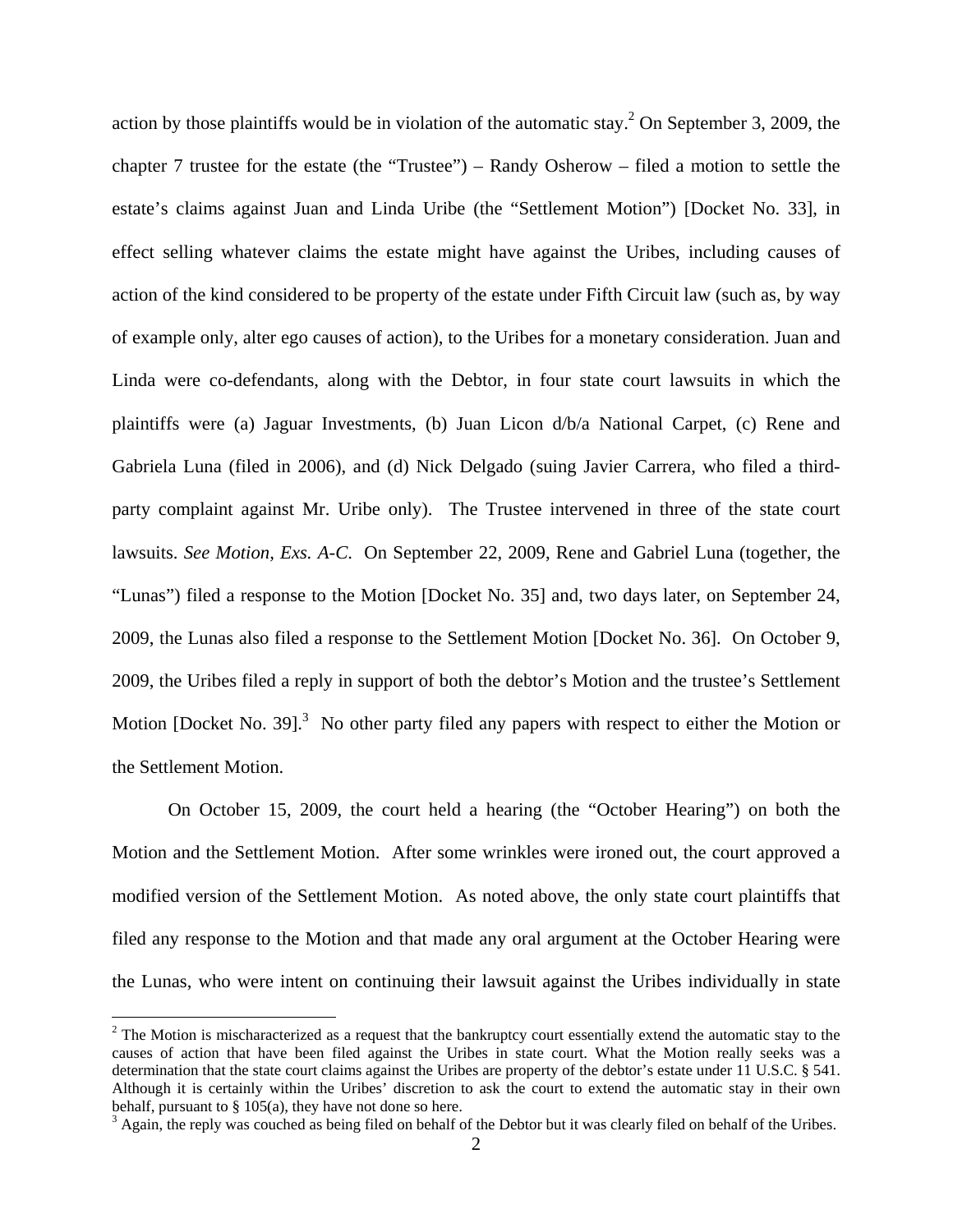action by those plaintiffs would be in violation of the automatic stay.<sup>2</sup> On September 3, 2009, the chapter 7 trustee for the estate (the "Trustee") – Randy Osherow – filed a motion to settle the estate's claims against Juan and Linda Uribe (the "Settlement Motion") [Docket No. 33], in effect selling whatever claims the estate might have against the Uribes, including causes of action of the kind considered to be property of the estate under Fifth Circuit law (such as, by way of example only, alter ego causes of action), to the Uribes for a monetary consideration. Juan and Linda were co-defendants, along with the Debtor, in four state court lawsuits in which the plaintiffs were (a) Jaguar Investments, (b) Juan Licon d/b/a National Carpet, (c) Rene and Gabriela Luna (filed in 2006), and (d) Nick Delgado (suing Javier Carrera, who filed a thirdparty complaint against Mr. Uribe only). The Trustee intervened in three of the state court lawsuits. *See Motion, Exs. A-C*. On September 22, 2009, Rene and Gabriel Luna (together, the "Lunas") filed a response to the Motion [Docket No. 35] and, two days later, on September 24, 2009, the Lunas also filed a response to the Settlement Motion [Docket No. 36]. On October 9, 2009, the Uribes filed a reply in support of both the debtor's Motion and the trustee's Settlement Motion [Docket No. 39]. $3$  No other party filed any papers with respect to either the Motion or the Settlement Motion.

On October 15, 2009, the court held a hearing (the "October Hearing") on both the Motion and the Settlement Motion. After some wrinkles were ironed out, the court approved a modified version of the Settlement Motion. As noted above, the only state court plaintiffs that filed any response to the Motion and that made any oral argument at the October Hearing were the Lunas, who were intent on continuing their lawsuit against the Uribes individually in state

 $2^2$  The Motion is mischaracterized as a request that the bankruptcy court essentially extend the automatic stay to the causes of action that have been filed against the Uribes in state court. What the Motion really seeks was a determination that the state court claims against the Uribes are property of the debtor's estate under 11 U.S.C. § 541. Although it is certainly within the Uribes' discretion to ask the court to extend the automatic stay in their own behalf, pursuant to  $\S 105(a)$ , they have not done so here.

 $3$  Again, the reply was couched as being filed on behalf of the Debtor but it was clearly filed on behalf of the Uribes.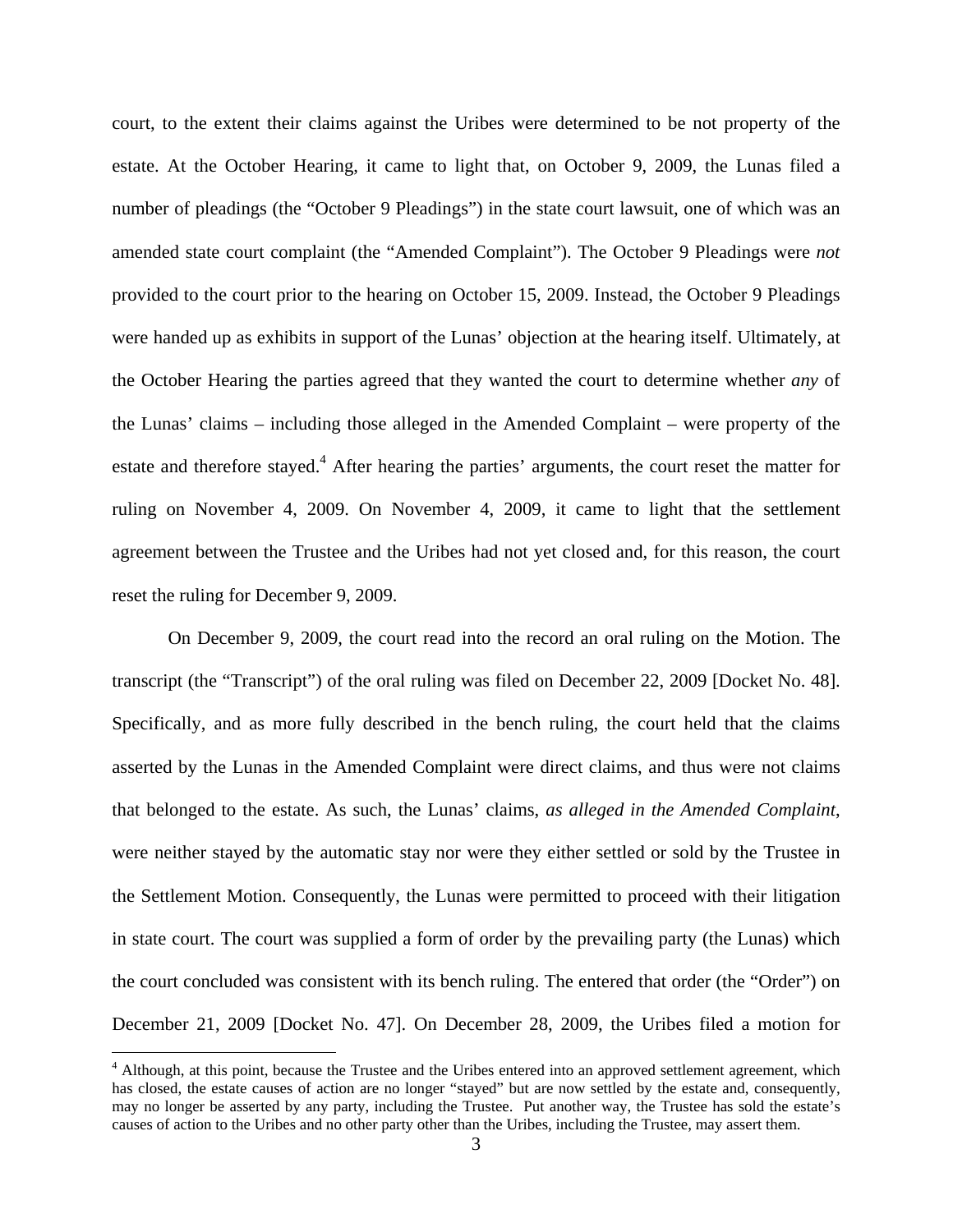court, to the extent their claims against the Uribes were determined to be not property of the estate. At the October Hearing, it came to light that, on October 9, 2009, the Lunas filed a number of pleadings (the "October 9 Pleadings") in the state court lawsuit, one of which was an amended state court complaint (the "Amended Complaint"). The October 9 Pleadings were *not*  provided to the court prior to the hearing on October 15, 2009. Instead, the October 9 Pleadings were handed up as exhibits in support of the Lunas' objection at the hearing itself. Ultimately, at the October Hearing the parties agreed that they wanted the court to determine whether *any* of the Lunas' claims – including those alleged in the Amended Complaint – were property of the estate and therefore stayed.<sup>4</sup> After hearing the parties' arguments, the court reset the matter for ruling on November 4, 2009. On November 4, 2009, it came to light that the settlement agreement between the Trustee and the Uribes had not yet closed and, for this reason, the court reset the ruling for December 9, 2009.

On December 9, 2009, the court read into the record an oral ruling on the Motion. The transcript (the "Transcript") of the oral ruling was filed on December 22, 2009 [Docket No. 48]. Specifically, and as more fully described in the bench ruling, the court held that the claims asserted by the Lunas in the Amended Complaint were direct claims, and thus were not claims that belonged to the estate. As such, the Lunas' claims, *as alleged in the Amended Complaint*, were neither stayed by the automatic stay nor were they either settled or sold by the Trustee in the Settlement Motion. Consequently, the Lunas were permitted to proceed with their litigation in state court. The court was supplied a form of order by the prevailing party (the Lunas) which the court concluded was consistent with its bench ruling. The entered that order (the "Order") on December 21, 2009 [Docket No. 47]. On December 28, 2009, the Uribes filed a motion for

1

<sup>&</sup>lt;sup>4</sup> Although, at this point, because the Trustee and the Uribes entered into an approved settlement agreement, which has closed, the estate causes of action are no longer "stayed" but are now settled by the estate and, consequently, may no longer be asserted by any party, including the Trustee. Put another way, the Trustee has sold the estate's causes of action to the Uribes and no other party other than the Uribes, including the Trustee, may assert them.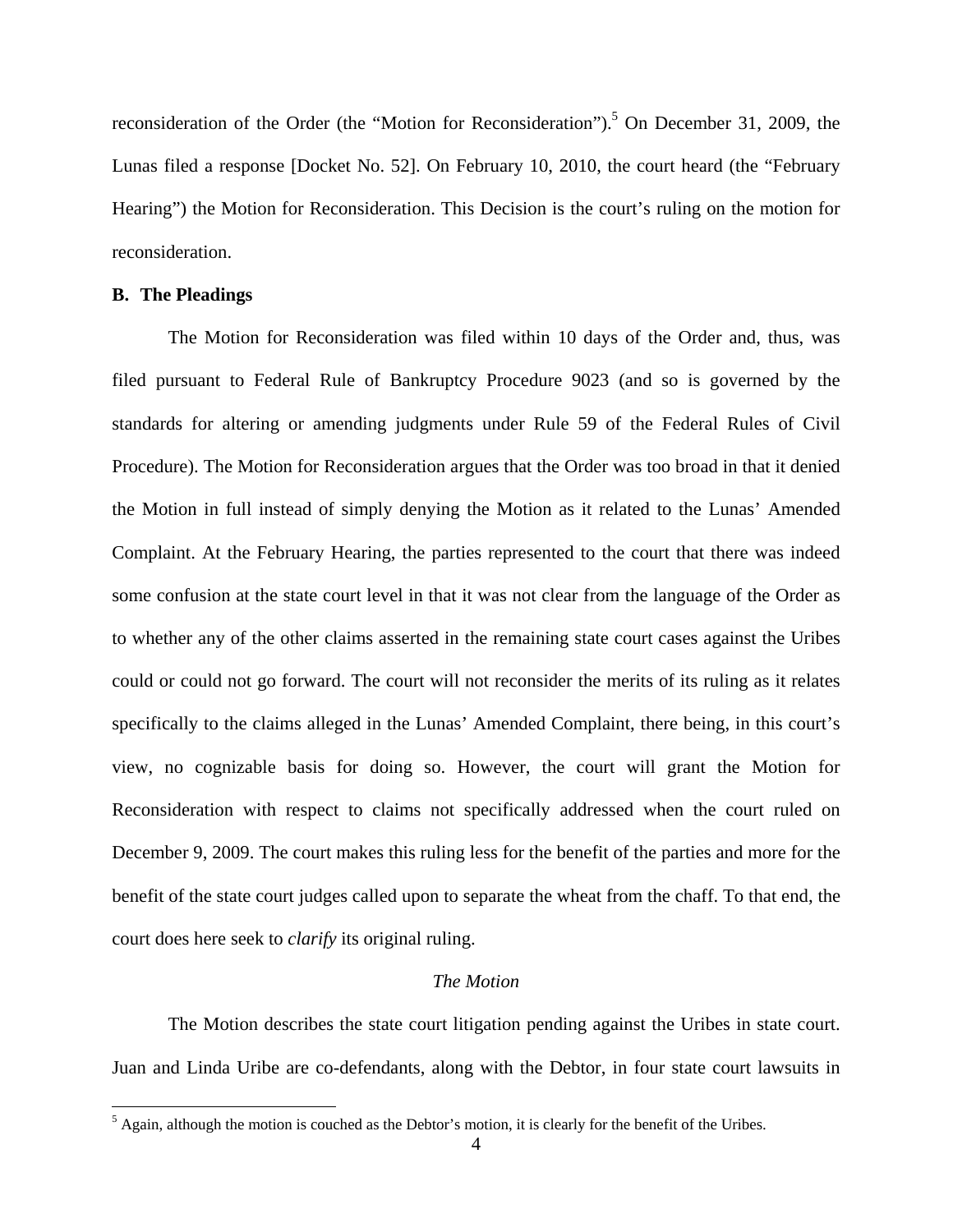reconsideration of the Order (the "Motion for Reconsideration").<sup>5</sup> On December 31, 2009, the Lunas filed a response [Docket No. 52]. On February 10, 2010, the court heard (the "February Hearing") the Motion for Reconsideration. This Decision is the court's ruling on the motion for reconsideration.

### **B. The Pleadings**

The Motion for Reconsideration was filed within 10 days of the Order and, thus, was filed pursuant to Federal Rule of Bankruptcy Procedure 9023 (and so is governed by the standards for altering or amending judgments under Rule 59 of the Federal Rules of Civil Procedure). The Motion for Reconsideration argues that the Order was too broad in that it denied the Motion in full instead of simply denying the Motion as it related to the Lunas' Amended Complaint. At the February Hearing, the parties represented to the court that there was indeed some confusion at the state court level in that it was not clear from the language of the Order as to whether any of the other claims asserted in the remaining state court cases against the Uribes could or could not go forward. The court will not reconsider the merits of its ruling as it relates specifically to the claims alleged in the Lunas' Amended Complaint, there being, in this court's view, no cognizable basis for doing so. However, the court will grant the Motion for Reconsideration with respect to claims not specifically addressed when the court ruled on December 9, 2009. The court makes this ruling less for the benefit of the parties and more for the benefit of the state court judges called upon to separate the wheat from the chaff. To that end, the court does here seek to *clarify* its original ruling.

### *The Motion*

The Motion describes the state court litigation pending against the Uribes in state court. Juan and Linda Uribe are co-defendants, along with the Debtor, in four state court lawsuits in

<sup>&</sup>lt;sup>5</sup> Again, although the motion is couched as the Debtor's motion, it is clearly for the benefit of the Uribes.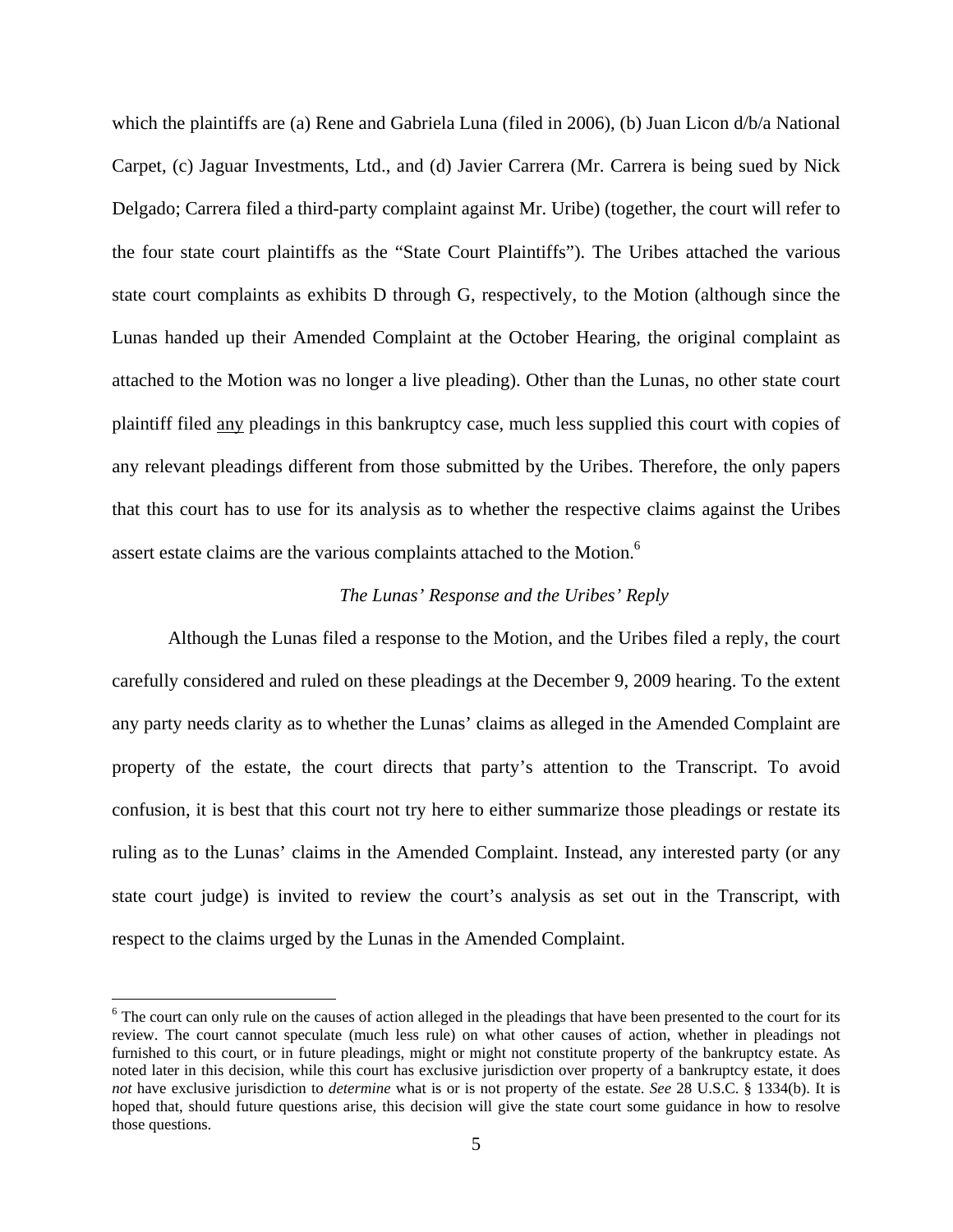which the plaintiffs are (a) Rene and Gabriela Luna (filed in 2006), (b) Juan Licon d/b/a National Carpet, (c) Jaguar Investments, Ltd., and (d) Javier Carrera (Mr. Carrera is being sued by Nick Delgado; Carrera filed a third-party complaint against Mr. Uribe) (together, the court will refer to the four state court plaintiffs as the "State Court Plaintiffs"). The Uribes attached the various state court complaints as exhibits D through G, respectively, to the Motion (although since the Lunas handed up their Amended Complaint at the October Hearing, the original complaint as attached to the Motion was no longer a live pleading). Other than the Lunas, no other state court plaintiff filed any pleadings in this bankruptcy case, much less supplied this court with copies of any relevant pleadings different from those submitted by the Uribes. Therefore, the only papers that this court has to use for its analysis as to whether the respective claims against the Uribes assert estate claims are the various complaints attached to the Motion.<sup>6</sup>

## *The Lunas' Response and the Uribes' Reply*

Although the Lunas filed a response to the Motion, and the Uribes filed a reply, the court carefully considered and ruled on these pleadings at the December 9, 2009 hearing. To the extent any party needs clarity as to whether the Lunas' claims as alleged in the Amended Complaint are property of the estate, the court directs that party's attention to the Transcript. To avoid confusion, it is best that this court not try here to either summarize those pleadings or restate its ruling as to the Lunas' claims in the Amended Complaint. Instead, any interested party (or any state court judge) is invited to review the court's analysis as set out in the Transcript, with respect to the claims urged by the Lunas in the Amended Complaint.

<sup>&</sup>lt;sup>6</sup> The court can only rule on the causes of action alleged in the pleadings that have been presented to the court for its review. The court cannot speculate (much less rule) on what other causes of action, whether in pleadings not furnished to this court, or in future pleadings, might or might not constitute property of the bankruptcy estate. As noted later in this decision, while this court has exclusive jurisdiction over property of a bankruptcy estate, it does *not* have exclusive jurisdiction to *determine* what is or is not property of the estate. *See* 28 U.S.C. § 1334(b). It is hoped that, should future questions arise, this decision will give the state court some guidance in how to resolve those questions.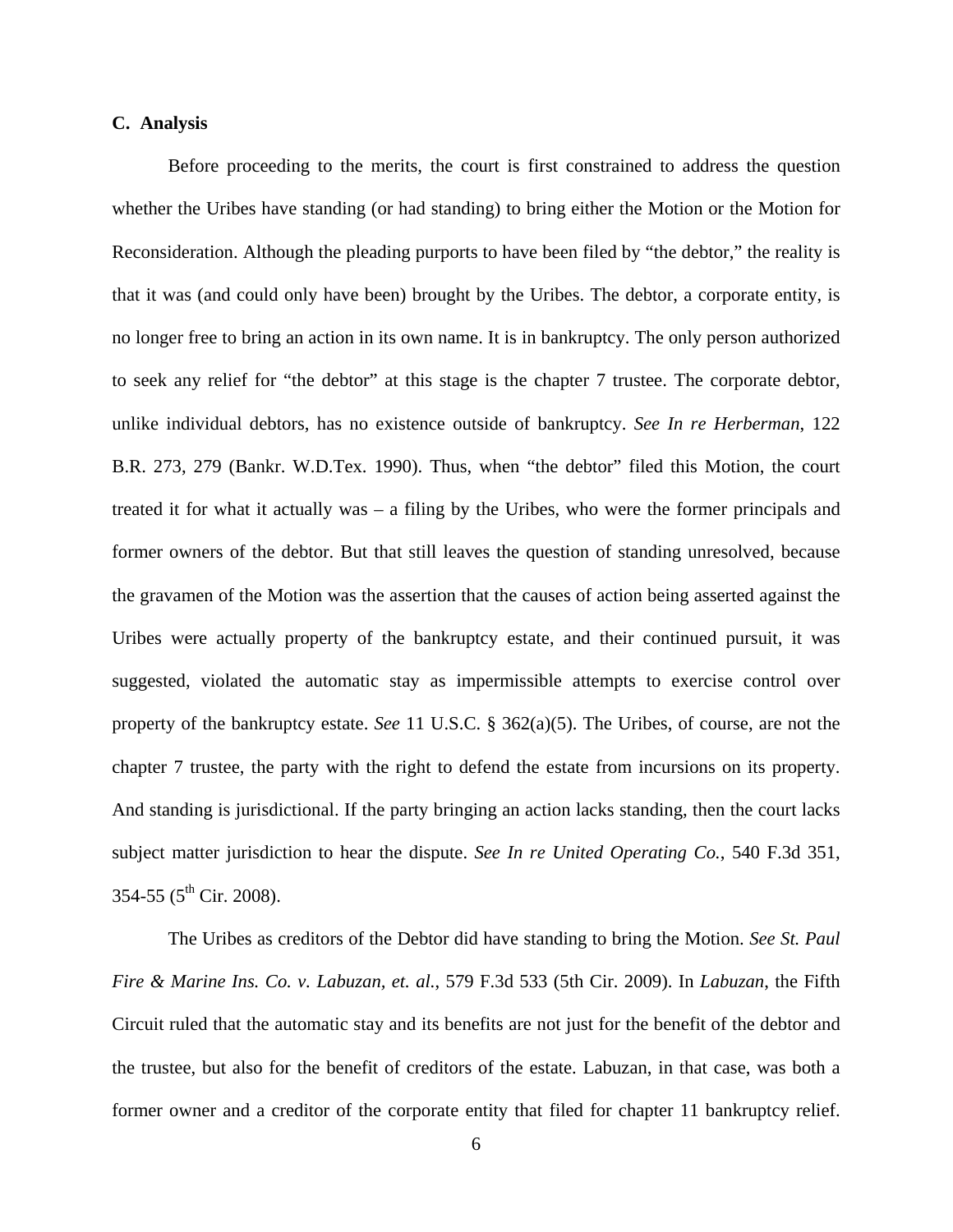### **C. Analysis**

Before proceeding to the merits, the court is first constrained to address the question whether the Uribes have standing (or had standing) to bring either the Motion or the Motion for Reconsideration. Although the pleading purports to have been filed by "the debtor," the reality is that it was (and could only have been) brought by the Uribes. The debtor, a corporate entity, is no longer free to bring an action in its own name. It is in bankruptcy. The only person authorized to seek any relief for "the debtor" at this stage is the chapter 7 trustee. The corporate debtor, unlike individual debtors, has no existence outside of bankruptcy. *See In re Herberman*, 122 B.R. 273, 279 (Bankr. W.D.Tex. 1990). Thus, when "the debtor" filed this Motion, the court treated it for what it actually was – a filing by the Uribes, who were the former principals and former owners of the debtor. But that still leaves the question of standing unresolved, because the gravamen of the Motion was the assertion that the causes of action being asserted against the Uribes were actually property of the bankruptcy estate, and their continued pursuit, it was suggested, violated the automatic stay as impermissible attempts to exercise control over property of the bankruptcy estate. *See* 11 U.S.C. § 362(a)(5). The Uribes, of course, are not the chapter 7 trustee, the party with the right to defend the estate from incursions on its property. And standing is jurisdictional. If the party bringing an action lacks standing, then the court lacks subject matter jurisdiction to hear the dispute. *See In re United Operating Co.*, 540 F.3d 351,  $354-55$  ( $5^{\text{th}}$  Cir. 2008).

The Uribes as creditors of the Debtor did have standing to bring the Motion. *See St. Paul Fire & Marine Ins. Co. v. Labuzan, et. al.*, 579 F.3d 533 (5th Cir. 2009). In *Labuzan*, the Fifth Circuit ruled that the automatic stay and its benefits are not just for the benefit of the debtor and the trustee, but also for the benefit of creditors of the estate. Labuzan, in that case, was both a former owner and a creditor of the corporate entity that filed for chapter 11 bankruptcy relief.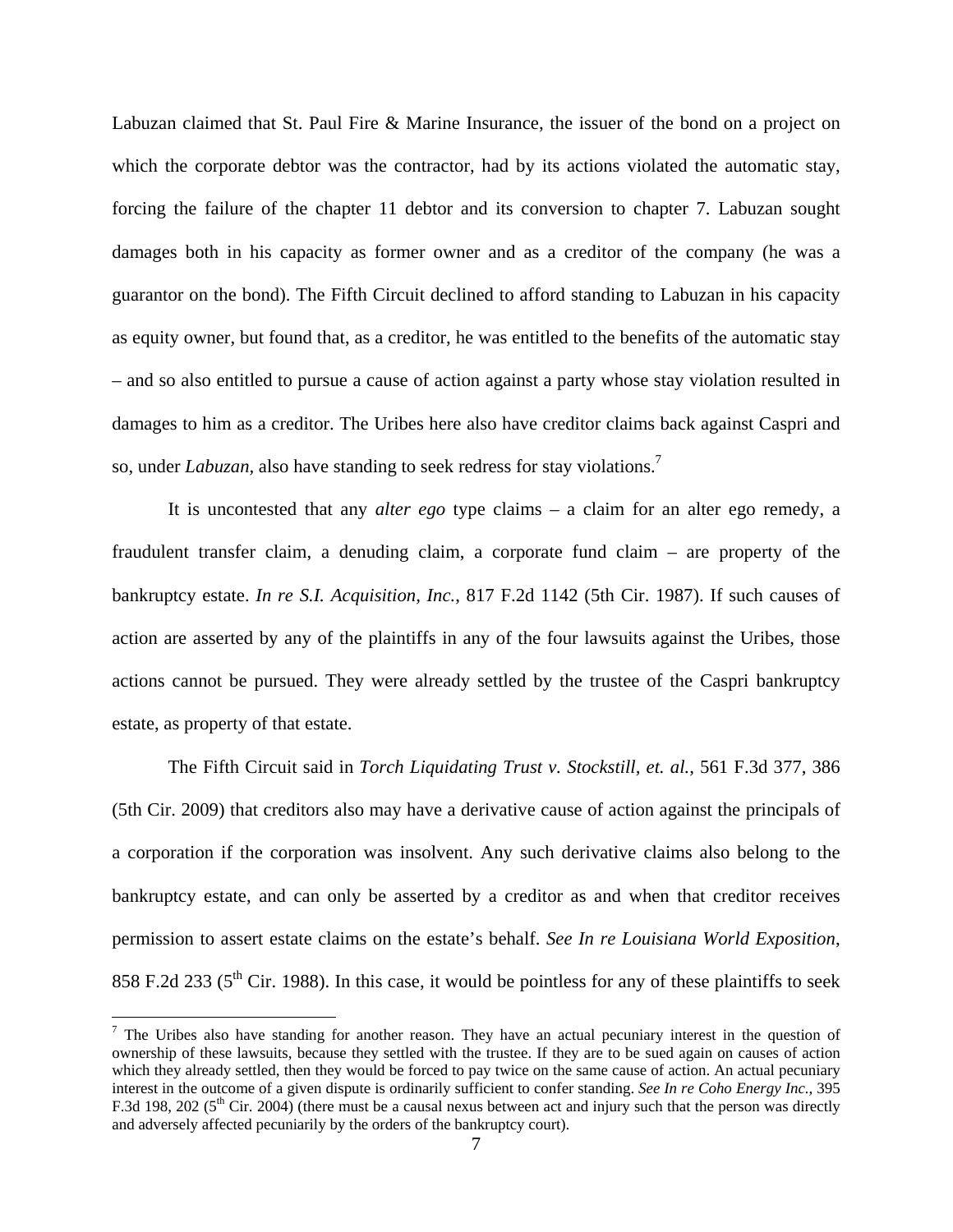Labuzan claimed that St. Paul Fire & Marine Insurance, the issuer of the bond on a project on which the corporate debtor was the contractor, had by its actions violated the automatic stay, forcing the failure of the chapter 11 debtor and its conversion to chapter 7. Labuzan sought damages both in his capacity as former owner and as a creditor of the company (he was a guarantor on the bond). The Fifth Circuit declined to afford standing to Labuzan in his capacity as equity owner, but found that, as a creditor, he was entitled to the benefits of the automatic stay – and so also entitled to pursue a cause of action against a party whose stay violation resulted in damages to him as a creditor. The Uribes here also have creditor claims back against Caspri and so, under *Labuzan,* also have standing to seek redress for stay violations.7

It is uncontested that any *alter ego* type claims – a claim for an alter ego remedy, a fraudulent transfer claim, a denuding claim, a corporate fund claim – are property of the bankruptcy estate. *In re S.I. Acquisition, Inc.*, 817 F.2d 1142 (5th Cir. 1987). If such causes of action are asserted by any of the plaintiffs in any of the four lawsuits against the Uribes, those actions cannot be pursued. They were already settled by the trustee of the Caspri bankruptcy estate, as property of that estate.

The Fifth Circuit said in *Torch Liquidating Trust v. Stockstill, et. al.*, 561 F.3d 377, 386 (5th Cir. 2009) that creditors also may have a derivative cause of action against the principals of a corporation if the corporation was insolvent. Any such derivative claims also belong to the bankruptcy estate, and can only be asserted by a creditor as and when that creditor receives permission to assert estate claims on the estate's behalf. *See In re Louisiana World Exposition*, 858 F.2d 233 ( $5<sup>th</sup>$  Cir. 1988). In this case, it would be pointless for any of these plaintiffs to seek

 $<sup>7</sup>$  The Uribes also have standing for another reason. They have an actual pecuniary interest in the question of</sup> ownership of these lawsuits, because they settled with the trustee. If they are to be sued again on causes of action which they already settled, then they would be forced to pay twice on the same cause of action. An actual pecuniary interest in the outcome of a given dispute is ordinarily sufficient to confer standing. *See In re Coho Energy Inc.*, 395 F.3d 198, 202 ( $5<sup>th</sup>$  Cir. 2004) (there must be a causal nexus between act and injury such that the person was directly and adversely affected pecuniarily by the orders of the bankruptcy court).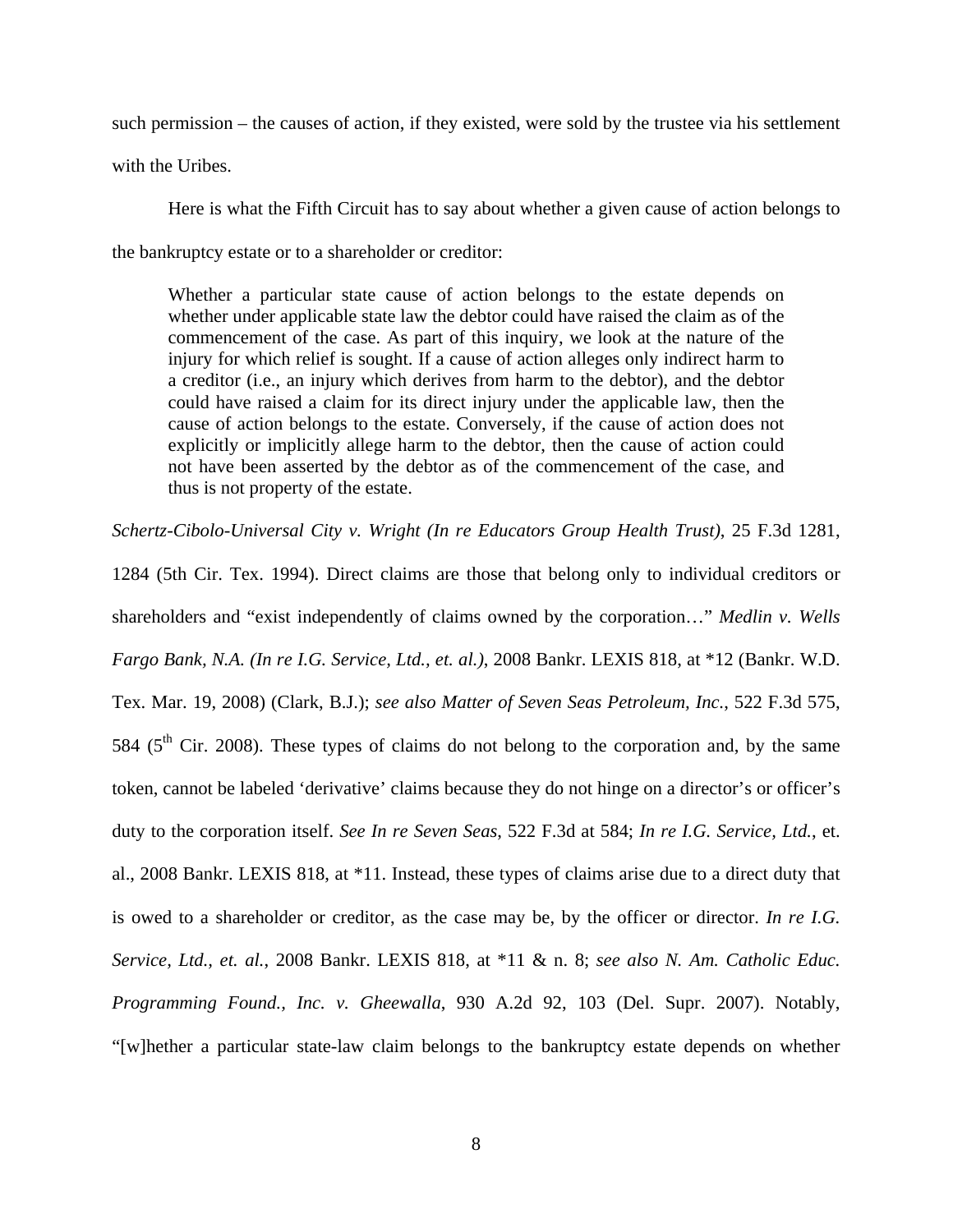such permission – the causes of action, if they existed, were sold by the trustee via his settlement with the Uribes.

Here is what the Fifth Circuit has to say about whether a given cause of action belongs to the bankruptcy estate or to a shareholder or creditor:

Whether a particular state cause of action belongs to the estate depends on whether under applicable state law the debtor could have raised the claim as of the commencement of the case. As part of this inquiry, we look at the nature of the injury for which relief is sought. If a cause of action alleges only indirect harm to a creditor (i.e., an injury which derives from harm to the debtor), and the debtor could have raised a claim for its direct injury under the applicable law, then the cause of action belongs to the estate. Conversely, if the cause of action does not explicitly or implicitly allege harm to the debtor, then the cause of action could not have been asserted by the debtor as of the commencement of the case, and thus is not property of the estate.

*Schertz-Cibolo-Universal City v. Wright (In re Educators Group Health Trust)*, 25 F.3d 1281,

1284 (5th Cir. Tex. 1994). Direct claims are those that belong only to individual creditors or shareholders and "exist independently of claims owned by the corporation…" *Medlin v. Wells Fargo Bank, N.A. (In re I.G. Service, Ltd., et. al.)*, 2008 Bankr. LEXIS 818, at \*12 (Bankr. W.D. Tex. Mar. 19, 2008) (Clark, B.J.); *see also Matter of Seven Seas Petroleum, Inc.*, 522 F.3d 575, 584 ( $5<sup>th</sup>$  Cir. 2008). These types of claims do not belong to the corporation and, by the same token, cannot be labeled 'derivative' claims because they do not hinge on a director's or officer's duty to the corporation itself. *See In re Seven Seas*, 522 F.3d at 584; *In re I.G. Service, Ltd.*, et. al., 2008 Bankr. LEXIS 818, at \*11. Instead, these types of claims arise due to a direct duty that is owed to a shareholder or creditor, as the case may be, by the officer or director. *In re I.G. Service, Ltd., et. al.*, 2008 Bankr. LEXIS 818, at \*11 & n. 8; *see also N. Am. Catholic Educ. Programming Found., Inc. v. Gheewalla*, 930 A.2d 92, 103 (Del. Supr. 2007). Notably, "[w]hether a particular state-law claim belongs to the bankruptcy estate depends on whether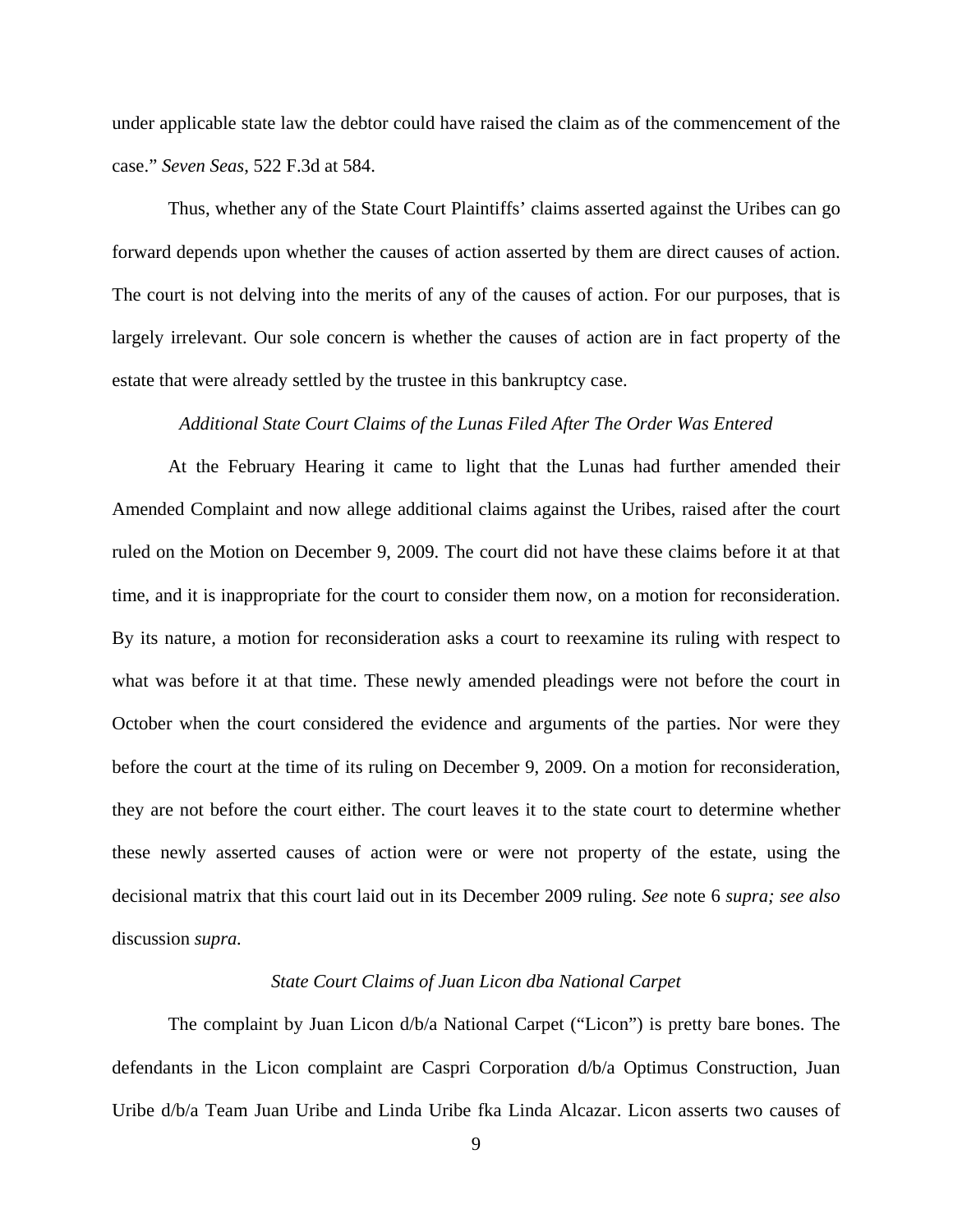under applicable state law the debtor could have raised the claim as of the commencement of the case." *Seven Seas*, 522 F.3d at 584.

Thus, whether any of the State Court Plaintiffs' claims asserted against the Uribes can go forward depends upon whether the causes of action asserted by them are direct causes of action. The court is not delving into the merits of any of the causes of action. For our purposes, that is largely irrelevant. Our sole concern is whether the causes of action are in fact property of the estate that were already settled by the trustee in this bankruptcy case.

#### *Additional State Court Claims of the Lunas Filed After The Order Was Entered*

 At the February Hearing it came to light that the Lunas had further amended their Amended Complaint and now allege additional claims against the Uribes, raised after the court ruled on the Motion on December 9, 2009. The court did not have these claims before it at that time, and it is inappropriate for the court to consider them now, on a motion for reconsideration. By its nature, a motion for reconsideration asks a court to reexamine its ruling with respect to what was before it at that time. These newly amended pleadings were not before the court in October when the court considered the evidence and arguments of the parties. Nor were they before the court at the time of its ruling on December 9, 2009. On a motion for reconsideration, they are not before the court either. The court leaves it to the state court to determine whether these newly asserted causes of action were or were not property of the estate, using the decisional matrix that this court laid out in its December 2009 ruling. *See* note 6 *supra; see also*  discussion *supra.*

#### *State Court Claims of Juan Licon dba National Carpet*

 The complaint by Juan Licon d/b/a National Carpet ("Licon") is pretty bare bones. The defendants in the Licon complaint are Caspri Corporation d/b/a Optimus Construction, Juan Uribe d/b/a Team Juan Uribe and Linda Uribe fka Linda Alcazar. Licon asserts two causes of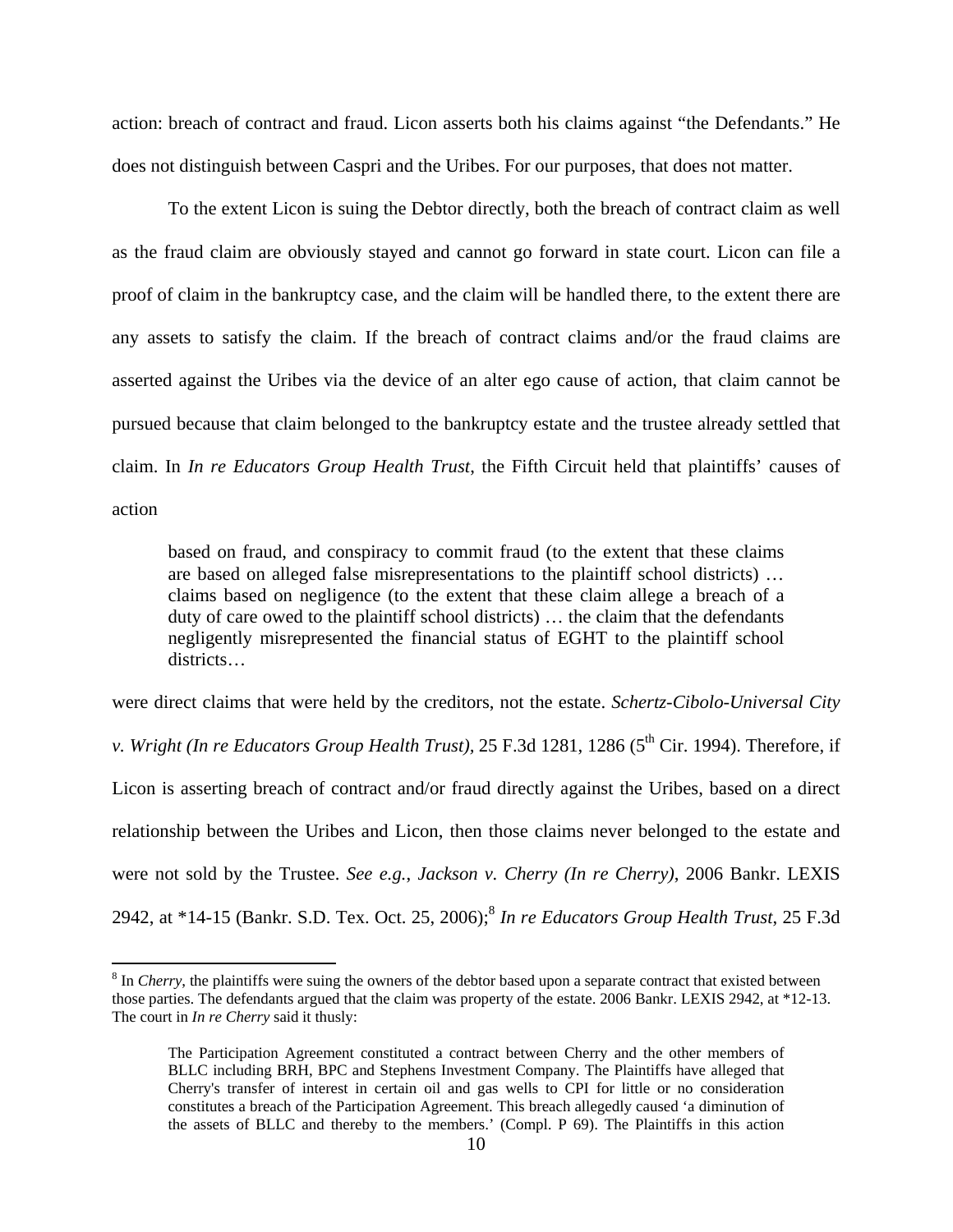action: breach of contract and fraud. Licon asserts both his claims against "the Defendants." He does not distinguish between Caspri and the Uribes. For our purposes, that does not matter.

To the extent Licon is suing the Debtor directly, both the breach of contract claim as well as the fraud claim are obviously stayed and cannot go forward in state court. Licon can file a proof of claim in the bankruptcy case, and the claim will be handled there, to the extent there are any assets to satisfy the claim. If the breach of contract claims and/or the fraud claims are asserted against the Uribes via the device of an alter ego cause of action, that claim cannot be pursued because that claim belonged to the bankruptcy estate and the trustee already settled that claim. In *In re Educators Group Health Trust*, the Fifth Circuit held that plaintiffs' causes of action

based on fraud, and conspiracy to commit fraud (to the extent that these claims are based on alleged false misrepresentations to the plaintiff school districts) … claims based on negligence (to the extent that these claim allege a breach of a duty of care owed to the plaintiff school districts) … the claim that the defendants negligently misrepresented the financial status of EGHT to the plaintiff school districts…

were direct claims that were held by the creditors, not the estate. *Schertz-Cibolo-Universal City* 

*v. Wright (In re Educators Group Health Trust),* 25 F.3d 1281, 1286 (5<sup>th</sup> Cir. 1994). Therefore, if Licon is asserting breach of contract and/or fraud directly against the Uribes, based on a direct relationship between the Uribes and Licon, then those claims never belonged to the estate and were not sold by the Trustee. *See e.g.*, *Jackson v. Cherry (In re Cherry)*, 2006 Bankr. LEXIS 2942, at \*14-15 (Bankr. S.D. Tex. Oct. 25, 2006);<sup>8</sup> *In re Educators Group Health Trust*, 25 F.3d

<sup>&</sup>lt;sup>8</sup> In *Cherry*, the plaintiffs were suing the owners of the debtor based upon a separate contract that existed between those parties. The defendants argued that the claim was property of the estate. 2006 Bankr. LEXIS 2942, at \*12-13. The court in *In re Cherry* said it thusly:

The Participation Agreement constituted a contract between Cherry and the other members of BLLC including BRH, BPC and Stephens Investment Company. The Plaintiffs have alleged that Cherry's transfer of interest in certain oil and gas wells to CPI for little or no consideration constitutes a breach of the Participation Agreement. This breach allegedly caused 'a diminution of the assets of BLLC and thereby to the members.' (Compl. P 69). The Plaintiffs in this action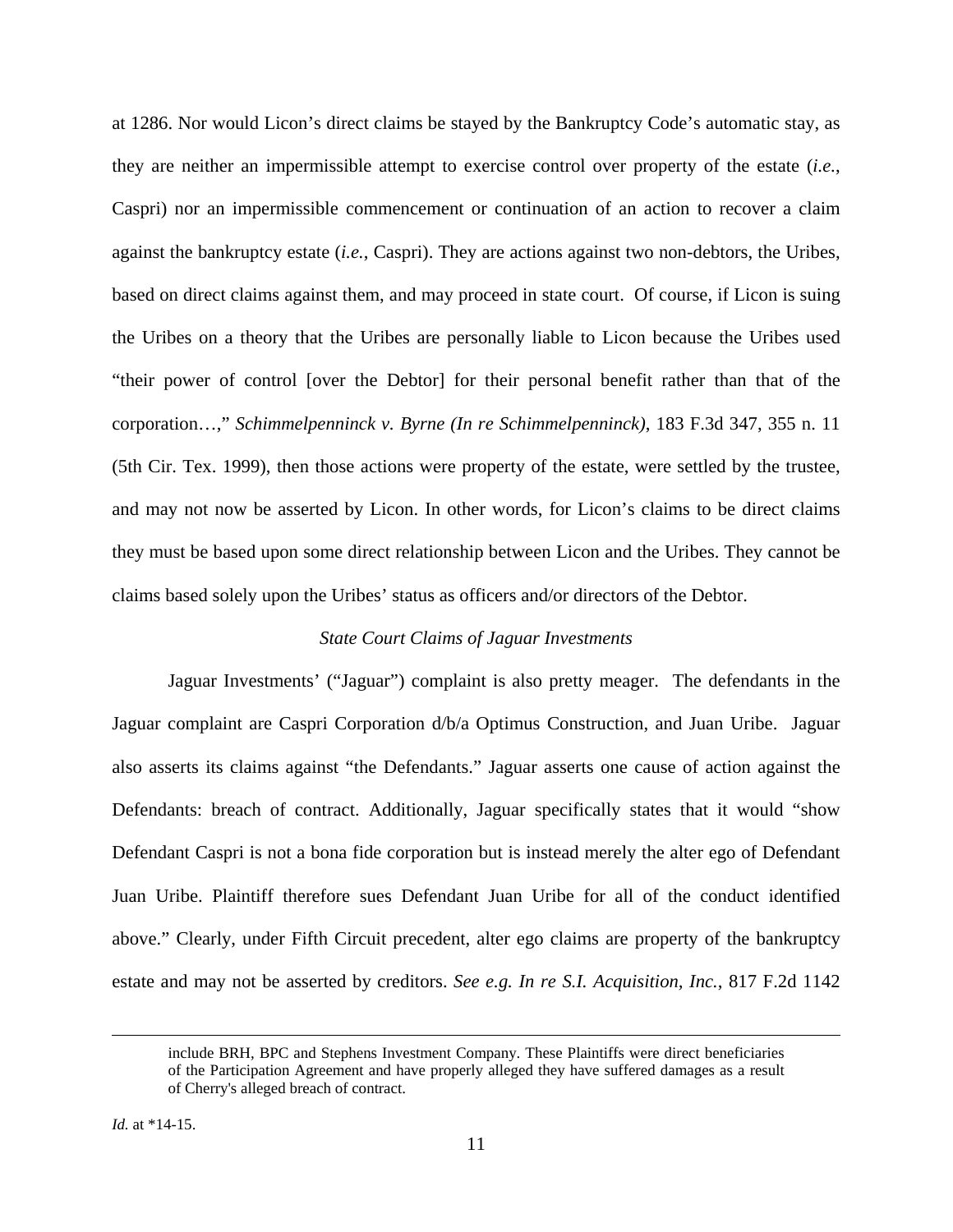at 1286. Nor would Licon's direct claims be stayed by the Bankruptcy Code's automatic stay, as they are neither an impermissible attempt to exercise control over property of the estate (*i.e.*, Caspri) nor an impermissible commencement or continuation of an action to recover a claim against the bankruptcy estate (*i.e.*, Caspri). They are actions against two non-debtors, the Uribes, based on direct claims against them, and may proceed in state court. Of course, if Licon is suing the Uribes on a theory that the Uribes are personally liable to Licon because the Uribes used "their power of control [over the Debtor] for their personal benefit rather than that of the corporation…," *Schimmelpenninck v. Byrne (In re Schimmelpenninck)*, 183 F.3d 347, 355 n. 11 (5th Cir. Tex. 1999), then those actions were property of the estate, were settled by the trustee, and may not now be asserted by Licon. In other words, for Licon's claims to be direct claims they must be based upon some direct relationship between Licon and the Uribes. They cannot be claims based solely upon the Uribes' status as officers and/or directors of the Debtor.

### *State Court Claims of Jaguar Investments*

 Jaguar Investments' ("Jaguar") complaint is also pretty meager. The defendants in the Jaguar complaint are Caspri Corporation d/b/a Optimus Construction, and Juan Uribe. Jaguar also asserts its claims against "the Defendants." Jaguar asserts one cause of action against the Defendants: breach of contract. Additionally, Jaguar specifically states that it would "show Defendant Caspri is not a bona fide corporation but is instead merely the alter ego of Defendant Juan Uribe. Plaintiff therefore sues Defendant Juan Uribe for all of the conduct identified above." Clearly, under Fifth Circuit precedent, alter ego claims are property of the bankruptcy estate and may not be asserted by creditors. *See e.g. In re S.I. Acquisition, Inc.*, 817 F.2d 1142

include BRH, BPC and Stephens Investment Company. These Plaintiffs were direct beneficiaries of the Participation Agreement and have properly alleged they have suffered damages as a result of Cherry's alleged breach of contract.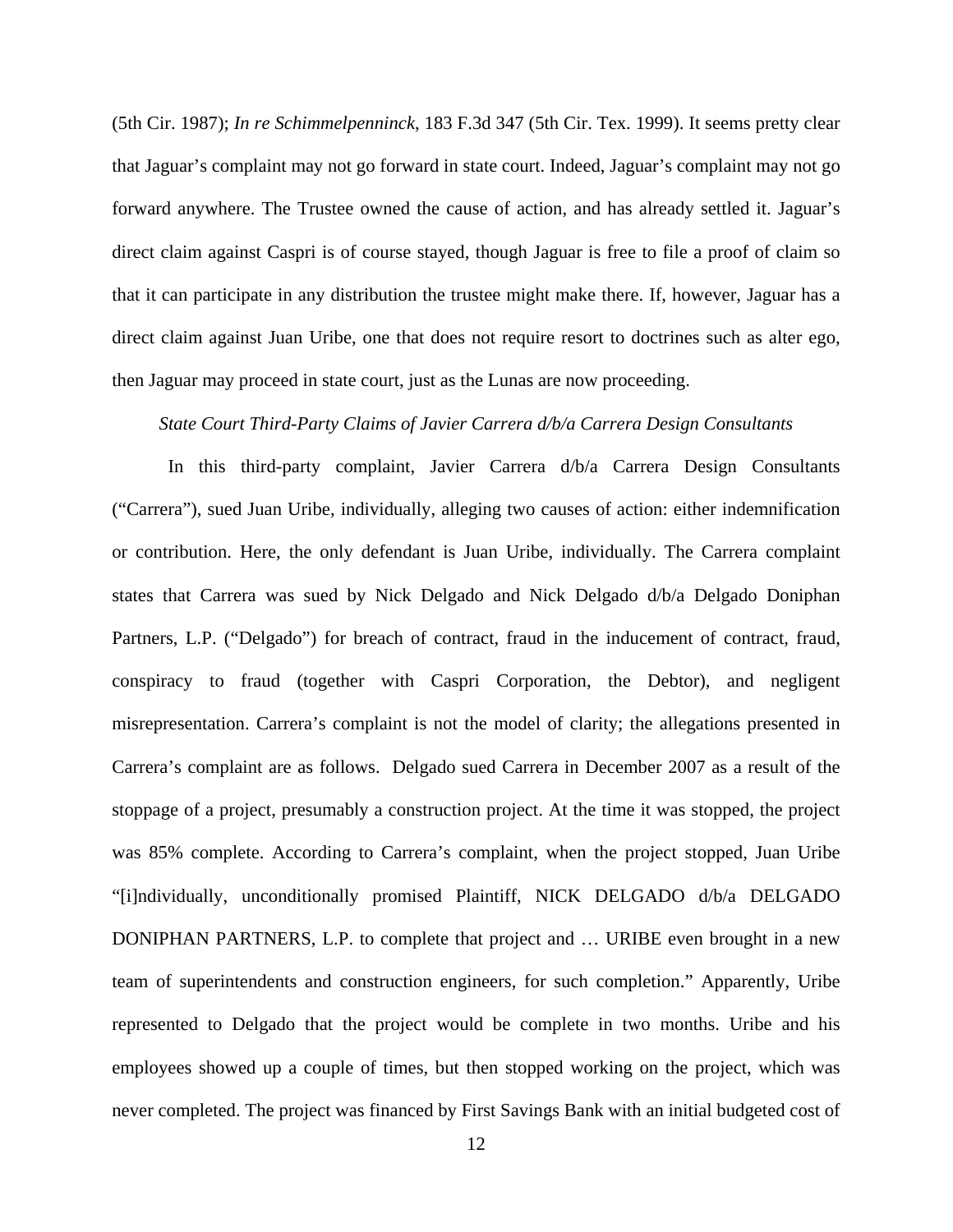(5th Cir. 1987); *In re Schimmelpenninck*, 183 F.3d 347 (5th Cir. Tex. 1999). It seems pretty clear that Jaguar's complaint may not go forward in state court. Indeed, Jaguar's complaint may not go forward anywhere. The Trustee owned the cause of action, and has already settled it. Jaguar's direct claim against Caspri is of course stayed, though Jaguar is free to file a proof of claim so that it can participate in any distribution the trustee might make there. If, however, Jaguar has a direct claim against Juan Uribe, one that does not require resort to doctrines such as alter ego, then Jaguar may proceed in state court, just as the Lunas are now proceeding.

### *State Court Third-Party Claims of Javier Carrera d/b/a Carrera Design Consultants*

 In this third-party complaint, Javier Carrera d/b/a Carrera Design Consultants ("Carrera"), sued Juan Uribe, individually, alleging two causes of action: either indemnification or contribution. Here, the only defendant is Juan Uribe, individually. The Carrera complaint states that Carrera was sued by Nick Delgado and Nick Delgado d/b/a Delgado Doniphan Partners, L.P. ("Delgado") for breach of contract, fraud in the inducement of contract, fraud, conspiracy to fraud (together with Caspri Corporation, the Debtor), and negligent misrepresentation. Carrera's complaint is not the model of clarity; the allegations presented in Carrera's complaint are as follows. Delgado sued Carrera in December 2007 as a result of the stoppage of a project, presumably a construction project. At the time it was stopped, the project was 85% complete. According to Carrera's complaint, when the project stopped, Juan Uribe "[i]ndividually, unconditionally promised Plaintiff, NICK DELGADO d/b/a DELGADO DONIPHAN PARTNERS, L.P. to complete that project and … URIBE even brought in a new team of superintendents and construction engineers, for such completion." Apparently, Uribe represented to Delgado that the project would be complete in two months. Uribe and his employees showed up a couple of times, but then stopped working on the project, which was never completed. The project was financed by First Savings Bank with an initial budgeted cost of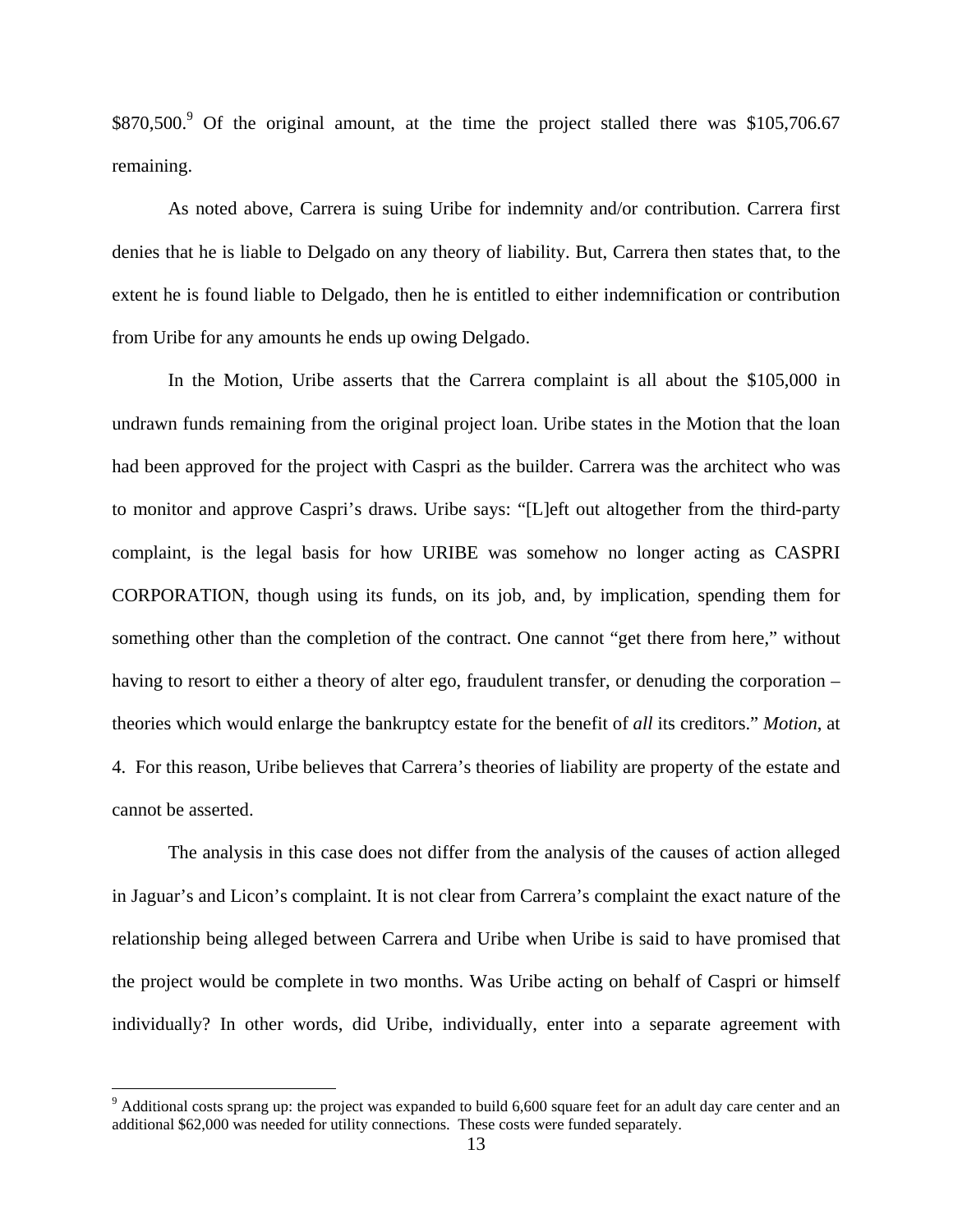\$870,500.<sup>9</sup> Of the original amount, at the time the project stalled there was \$105,706.67 remaining.

 As noted above, Carrera is suing Uribe for indemnity and/or contribution. Carrera first denies that he is liable to Delgado on any theory of liability. But, Carrera then states that, to the extent he is found liable to Delgado, then he is entitled to either indemnification or contribution from Uribe for any amounts he ends up owing Delgado.

 In the Motion, Uribe asserts that the Carrera complaint is all about the \$105,000 in undrawn funds remaining from the original project loan. Uribe states in the Motion that the loan had been approved for the project with Caspri as the builder. Carrera was the architect who was to monitor and approve Caspri's draws. Uribe says: "[L]eft out altogether from the third-party complaint, is the legal basis for how URIBE was somehow no longer acting as CASPRI CORPORATION, though using its funds, on its job, and, by implication, spending them for something other than the completion of the contract. One cannot "get there from here," without having to resort to either a theory of alter ego, fraudulent transfer, or denuding the corporation – theories which would enlarge the bankruptcy estate for the benefit of *all* its creditors." *Motion*, at 4. For this reason, Uribe believes that Carrera's theories of liability are property of the estate and cannot be asserted.

 The analysis in this case does not differ from the analysis of the causes of action alleged in Jaguar's and Licon's complaint. It is not clear from Carrera's complaint the exact nature of the relationship being alleged between Carrera and Uribe when Uribe is said to have promised that the project would be complete in two months. Was Uribe acting on behalf of Caspri or himself individually? In other words, did Uribe, individually, enter into a separate agreement with

<u>.</u>

 $9$  Additional costs sprang up: the project was expanded to build 6,600 square feet for an adult day care center and an additional \$62,000 was needed for utility connections. These costs were funded separately.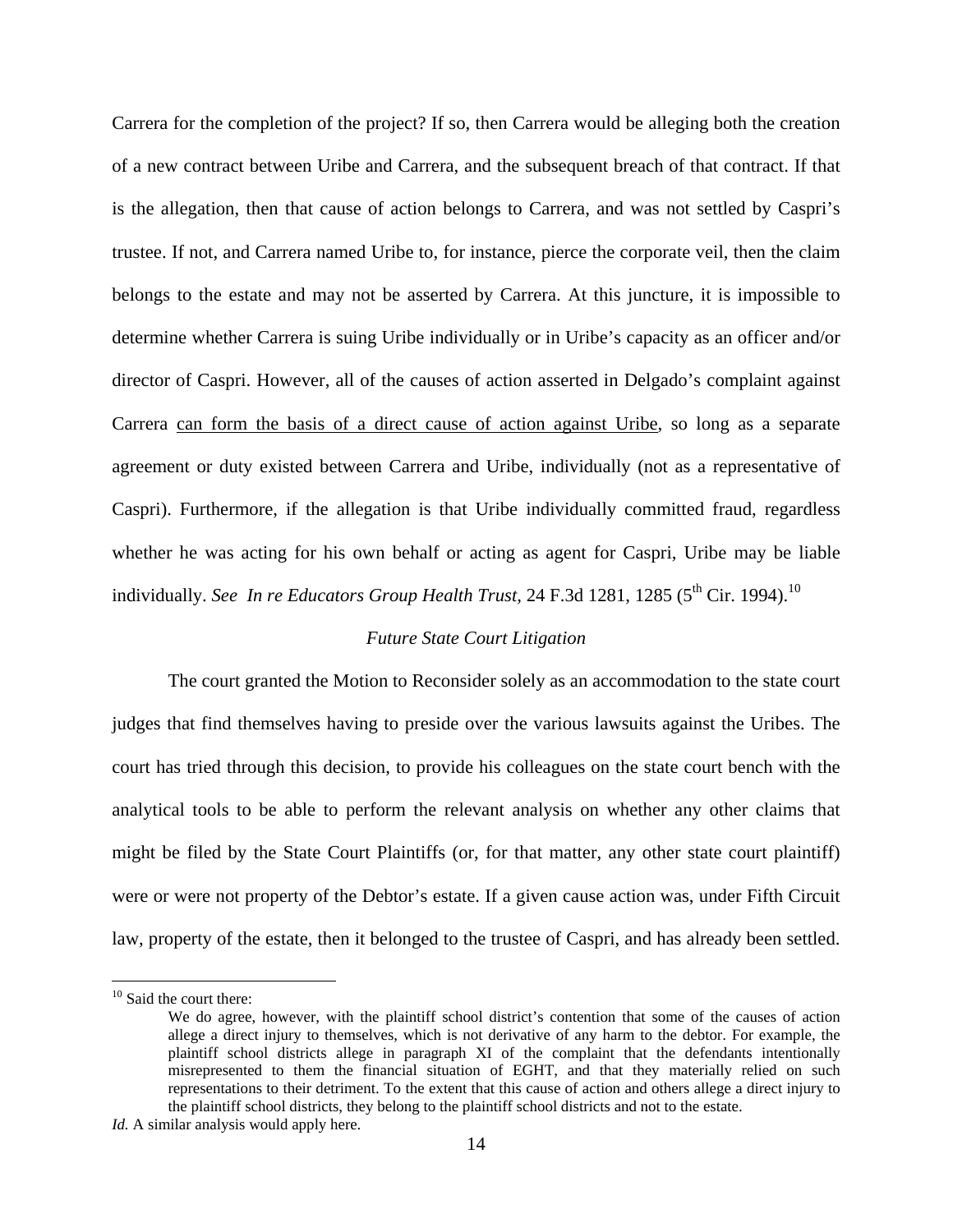Carrera for the completion of the project? If so, then Carrera would be alleging both the creation of a new contract between Uribe and Carrera, and the subsequent breach of that contract. If that is the allegation, then that cause of action belongs to Carrera, and was not settled by Caspri's trustee. If not, and Carrera named Uribe to, for instance, pierce the corporate veil, then the claim belongs to the estate and may not be asserted by Carrera. At this juncture, it is impossible to determine whether Carrera is suing Uribe individually or in Uribe's capacity as an officer and/or director of Caspri. However, all of the causes of action asserted in Delgado's complaint against Carrera can form the basis of a direct cause of action against Uribe, so long as a separate agreement or duty existed between Carrera and Uribe, individually (not as a representative of Caspri). Furthermore, if the allegation is that Uribe individually committed fraud, regardless whether he was acting for his own behalf or acting as agent for Caspri, Uribe may be liable individually. *See In re Educators Group Health Trust*, 24 F.3d 1281, 1285 ( $5<sup>th</sup>$  Cir. 1994).<sup>10</sup>

#### *Future State Court Litigation*

 The court granted the Motion to Reconsider solely as an accommodation to the state court judges that find themselves having to preside over the various lawsuits against the Uribes. The court has tried through this decision, to provide his colleagues on the state court bench with the analytical tools to be able to perform the relevant analysis on whether any other claims that might be filed by the State Court Plaintiffs (or, for that matter, any other state court plaintiff) were or were not property of the Debtor's estate. If a given cause action was, under Fifth Circuit law, property of the estate, then it belonged to the trustee of Caspri, and has already been settled.

<u>.</u>

<sup>&</sup>lt;sup>10</sup> Said the court there:

We do agree, however, with the plaintiff school district's contention that some of the causes of action allege a direct injury to themselves, which is not derivative of any harm to the debtor. For example, the plaintiff school districts allege in paragraph XI of the complaint that the defendants intentionally misrepresented to them the financial situation of EGHT, and that they materially relied on such representations to their detriment. To the extent that this cause of action and others allege a direct injury to the plaintiff school districts, they belong to the plaintiff school districts and not to the estate.

*Id.* A similar analysis would apply here.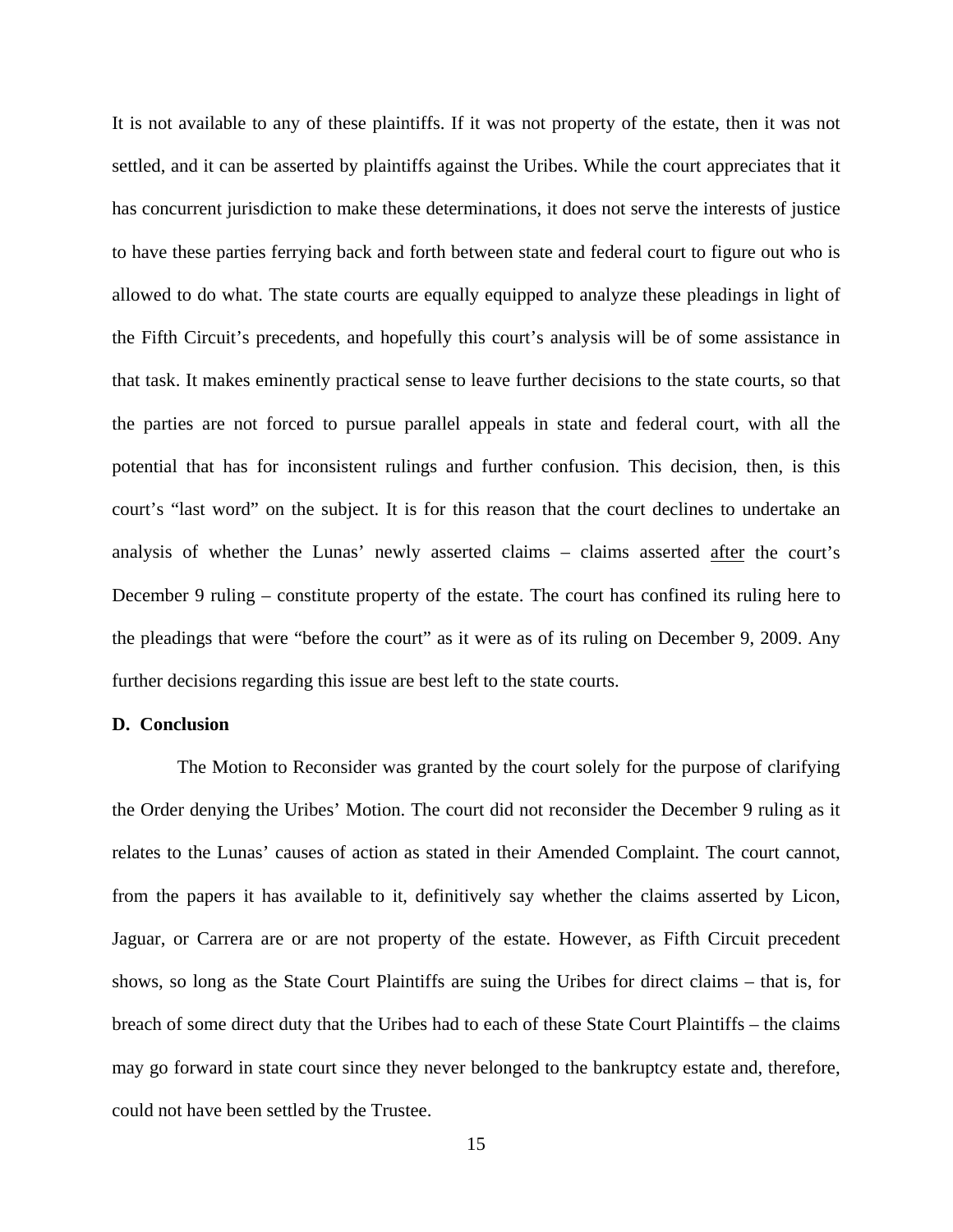It is not available to any of these plaintiffs. If it was not property of the estate, then it was not settled, and it can be asserted by plaintiffs against the Uribes. While the court appreciates that it has concurrent jurisdiction to make these determinations, it does not serve the interests of justice to have these parties ferrying back and forth between state and federal court to figure out who is allowed to do what. The state courts are equally equipped to analyze these pleadings in light of the Fifth Circuit's precedents, and hopefully this court's analysis will be of some assistance in that task. It makes eminently practical sense to leave further decisions to the state courts, so that the parties are not forced to pursue parallel appeals in state and federal court, with all the potential that has for inconsistent rulings and further confusion. This decision, then, is this court's "last word" on the subject. It is for this reason that the court declines to undertake an analysis of whether the Lunas' newly asserted claims – claims asserted after the court's December 9 ruling – constitute property of the estate. The court has confined its ruling here to the pleadings that were "before the court" as it were as of its ruling on December 9, 2009. Any further decisions regarding this issue are best left to the state courts.

### **D. Conclusion**

 The Motion to Reconsider was granted by the court solely for the purpose of clarifying the Order denying the Uribes' Motion. The court did not reconsider the December 9 ruling as it relates to the Lunas' causes of action as stated in their Amended Complaint. The court cannot, from the papers it has available to it, definitively say whether the claims asserted by Licon, Jaguar, or Carrera are or are not property of the estate. However, as Fifth Circuit precedent shows, so long as the State Court Plaintiffs are suing the Uribes for direct claims – that is, for breach of some direct duty that the Uribes had to each of these State Court Plaintiffs – the claims may go forward in state court since they never belonged to the bankruptcy estate and, therefore, could not have been settled by the Trustee.